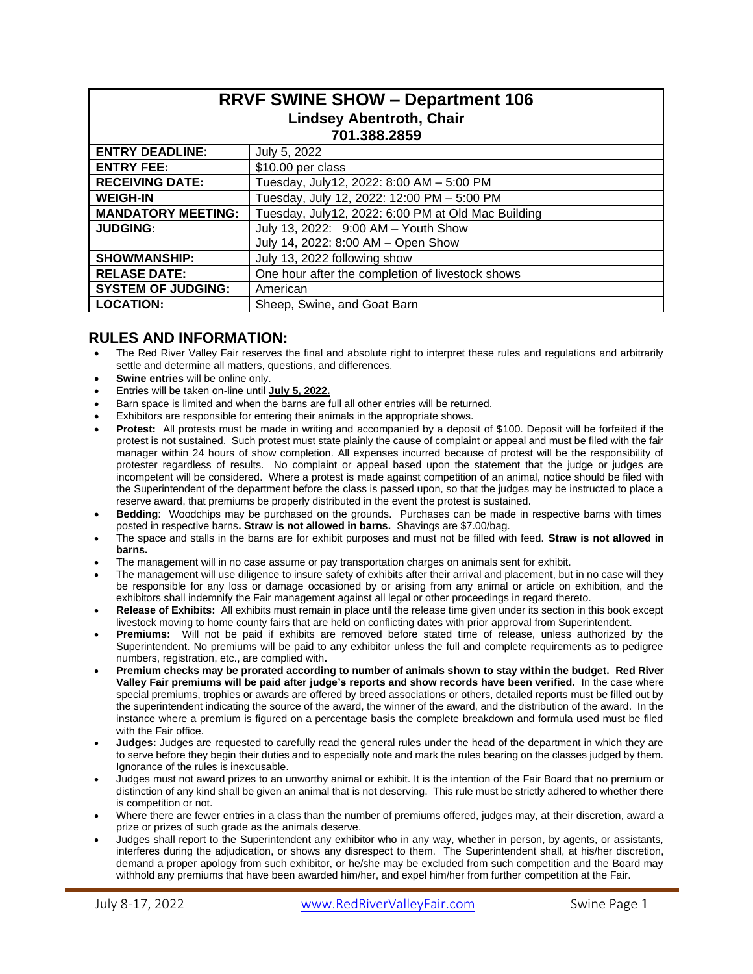| <b>RRVF SWINE SHOW - Department 106</b><br><b>Lindsey Abentroth, Chair</b><br>701.388.2859 |                                                    |  |  |  |  |
|--------------------------------------------------------------------------------------------|----------------------------------------------------|--|--|--|--|
| <b>ENTRY DEADLINE:</b>                                                                     | July 5, 2022                                       |  |  |  |  |
| <b>ENTRY FEE:</b>                                                                          | \$10.00 per class                                  |  |  |  |  |
| <b>RECEIVING DATE:</b>                                                                     | Tuesday, July12, 2022: 8:00 AM - 5:00 PM           |  |  |  |  |
| <b>WEIGH-IN</b>                                                                            | Tuesday, July 12, 2022: 12:00 PM - 5:00 PM         |  |  |  |  |
| <b>MANDATORY MEETING:</b>                                                                  | Tuesday, July12, 2022: 6:00 PM at Old Mac Building |  |  |  |  |
| <b>JUDGING:</b>                                                                            | July 13, 2022: 9:00 AM - Youth Show                |  |  |  |  |
|                                                                                            | July 14, 2022: 8:00 AM - Open Show                 |  |  |  |  |
| <b>SHOWMANSHIP:</b>                                                                        | July 13, 2022 following show                       |  |  |  |  |
| <b>RELASE DATE:</b>                                                                        | One hour after the completion of livestock shows   |  |  |  |  |
| <b>SYSTEM OF JUDGING:</b>                                                                  | American                                           |  |  |  |  |
| <b>LOCATION:</b>                                                                           | Sheep, Swine, and Goat Barn                        |  |  |  |  |

# **RULES AND INFORMATION:**

- The Red River Valley Fair reserves the final and absolute right to interpret these rules and regulations and arbitrarily settle and determine all matters, questions, and differences.
- **Swine entries** will be online only.
- Entries will be taken on-line until **July 5, 2022.**
- Barn space is limited and when the barns are full all other entries will be returned.
- Exhibitors are responsible for entering their animals in the appropriate shows.
- **Protest:** All protests must be made in writing and accompanied by a deposit of \$100. Deposit will be forfeited if the protest is not sustained. Such protest must state plainly the cause of complaint or appeal and must be filed with the fair manager within 24 hours of show completion. All expenses incurred because of protest will be the responsibility of protester regardless of results. No complaint or appeal based upon the statement that the judge or judges are incompetent will be considered. Where a protest is made against competition of an animal, notice should be filed with the Superintendent of the department before the class is passed upon, so that the judges may be instructed to place a reserve award, that premiums be properly distributed in the event the protest is sustained.
- **Bedding**: Woodchips may be purchased on the grounds. Purchases can be made in respective barns with times posted in respective barns**. Straw is not allowed in barns.** Shavings are \$7.00/bag.
- The space and stalls in the barns are for exhibit purposes and must not be filled with feed. **Straw is not allowed in barns.**
- The management will in no case assume or pay transportation charges on animals sent for exhibit.
- The management will use diligence to insure safety of exhibits after their arrival and placement, but in no case will they be responsible for any loss or damage occasioned by or arising from any animal or article on exhibition, and the exhibitors shall indemnify the Fair management against all legal or other proceedings in regard thereto.
- **Release of Exhibits:** All exhibits must remain in place until the release time given under its section in this book except livestock moving to home county fairs that are held on conflicting dates with prior approval from Superintendent.
- **Premiums:** Will not be paid if exhibits are removed before stated time of release, unless authorized by the Superintendent. No premiums will be paid to any exhibitor unless the full and complete requirements as to pedigree numbers, registration, etc., are complied with**.**
- **Premium checks may be prorated according to number of animals shown to stay within the budget. Red River Valley Fair premiums will be paid after judge's reports and show records have been verified.** In the case where special premiums, trophies or awards are offered by breed associations or others, detailed reports must be filled out by the superintendent indicating the source of the award, the winner of the award, and the distribution of the award. In the instance where a premium is figured on a percentage basis the complete breakdown and formula used must be filed with the Fair office.
- **Judges:** Judges are requested to carefully read the general rules under the head of the department in which they are to serve before they begin their duties and to especially note and mark the rules bearing on the classes judged by them. Ignorance of the rules is inexcusable.
- Judges must not award prizes to an unworthy animal or exhibit. It is the intention of the Fair Board that no premium or distinction of any kind shall be given an animal that is not deserving. This rule must be strictly adhered to whether there is competition or not.
- Where there are fewer entries in a class than the number of premiums offered, judges may, at their discretion, award a prize or prizes of such grade as the animals deserve.
- Judges shall report to the Superintendent any exhibitor who in any way, whether in person, by agents, or assistants, interferes during the adjudication, or shows any disrespect to them. The Superintendent shall, at his/her discretion, demand a proper apology from such exhibitor, or he/she may be excluded from such competition and the Board may withhold any premiums that have been awarded him/her, and expel him/her from further competition at the Fair.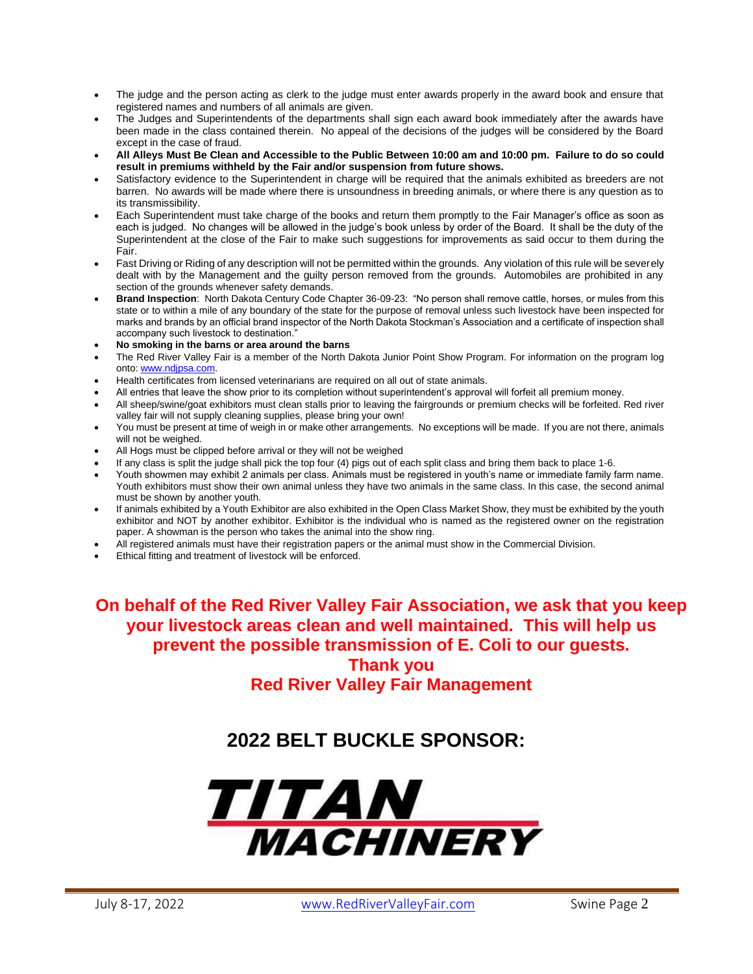- The judge and the person acting as clerk to the judge must enter awards properly in the award book and ensure that registered names and numbers of all animals are given.
- The Judges and Superintendents of the departments shall sign each award book immediately after the awards have been made in the class contained therein. No appeal of the decisions of the judges will be considered by the Board except in the case of fraud.
- **All Alleys Must Be Clean and Accessible to the Public Between 10:00 am and 10:00 pm. Failure to do so could result in premiums withheld by the Fair and/or suspension from future shows.**
- Satisfactory evidence to the Superintendent in charge will be required that the animals exhibited as breeders are not barren. No awards will be made where there is unsoundness in breeding animals, or where there is any question as to its transmissibility.
- Each Superintendent must take charge of the books and return them promptly to the Fair Manager's office as soon as each is judged. No changes will be allowed in the judge's book unless by order of the Board. It shall be the duty of the Superintendent at the close of the Fair to make such suggestions for improvements as said occur to them during the Fair.
- Fast Driving or Riding of any description will not be permitted within the grounds. Any violation of this rule will be severely dealt with by the Management and the guilty person removed from the grounds. Automobiles are prohibited in any section of the grounds whenever safety demands.
- **Brand Inspection**: North Dakota Century Code Chapter 36-09-23: "No person shall remove cattle, horses, or mules from this state or to within a mile of any boundary of the state for the purpose of removal unless such livestock have been inspected for marks and brands by an official brand inspector of the North Dakota Stockman's Association and a certificate of inspection shall accompany such livestock to destination."
- **No smoking in the barns or area around the barns**
- The Red River Valley Fair is a member of the North Dakota Junior Point Show Program. For information on the program log onto: [www.ndjpsa.com.](http://www.ndjpsa.com/)
- Health certificates from licensed veterinarians are required on all out of state animals.
- All entries that leave the show prior to its completion without superintendent's approval will forfeit all premium money.
- All sheep/swine/goat exhibitors must clean stalls prior to leaving the fairgrounds or premium checks will be forfeited. Red river valley fair will not supply cleaning supplies, please bring your own!
- You must be present at time of weigh in or make other arrangements. No exceptions will be made. If you are not there, animals will not be weighed.
- All Hogs must be clipped before arrival or they will not be weighed
- If any class is split the judge shall pick the top four (4) pigs out of each split class and bring them back to place 1-6.
- Youth showmen may exhibit 2 animals per class. Animals must be registered in youth's name or immediate family farm name. Youth exhibitors must show their own animal unless they have two animals in the same class. In this case, the second animal must be shown by another youth.
- If animals exhibited by a Youth Exhibitor are also exhibited in the Open Class Market Show, they must be exhibited by the youth exhibitor and NOT by another exhibitor. Exhibitor is the individual who is named as the registered owner on the registration paper. A showman is the person who takes the animal into the show ring.
- All registered animals must have their registration papers or the animal must show in the Commercial Division.
- Ethical fitting and treatment of livestock will be enforced.

**On behalf of the Red River Valley Fair Association, we ask that you keep your livestock areas clean and well maintained. This will help us prevent the possible transmission of E. Coli to our guests. Thank you Red River Valley Fair Management**

# **2022 BELT BUCKLE SPONSOR:**

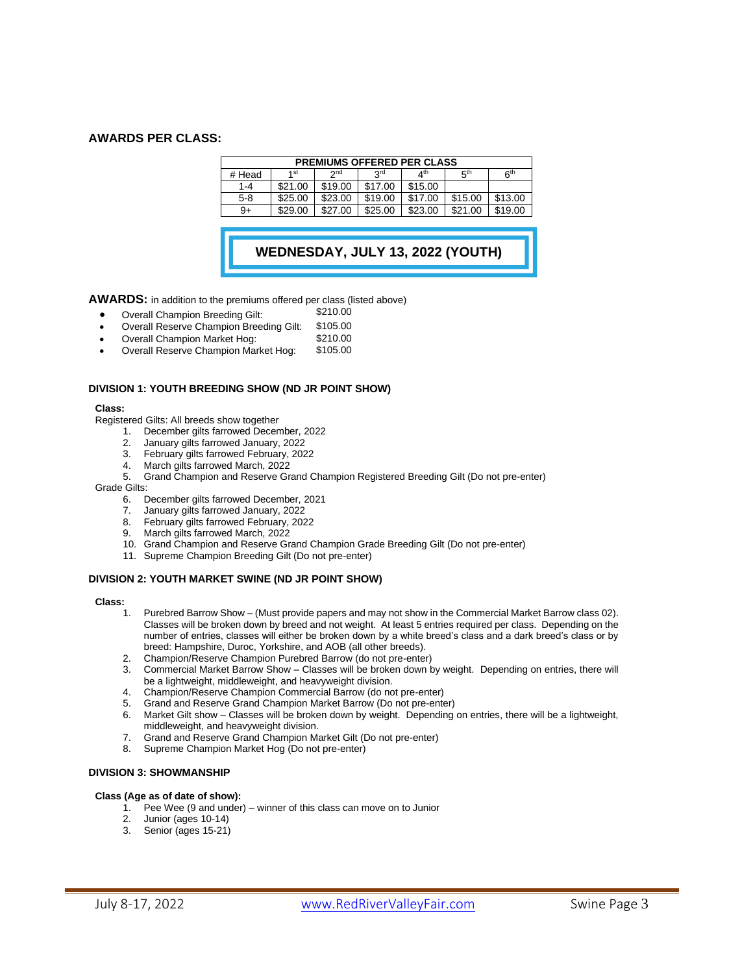# **AWARDS PER CLASS:**

| <b>PREMIUMS OFFERED PER CLASS</b> |                 |                 |            |                       |                 |                 |  |  |
|-----------------------------------|-----------------|-----------------|------------|-----------------------|-----------------|-----------------|--|--|
| # Head                            | 1 <sub>st</sub> | 2 <sub>nd</sub> | <b>Qrd</b> | $\Lambda^{\text{th}}$ | 5 <sup>th</sup> | 6 <sup>th</sup> |  |  |
| 1-4                               | \$21.00         | \$19.00         | \$17.00    | \$15.00               |                 |                 |  |  |
| $5-8$                             | \$25.00         | \$23.00         | \$19.00    | \$17.00               | \$15.00         | \$13.00         |  |  |
| $9+$                              | \$29.00         | \$27.00         | \$25.00    | \$23.00               | \$21.00         | \$19.00         |  |  |

**WEDNESDAY, JULY 13, 2022 (YOUTH) SHOW)**

**AWARDS:** in addition to the premiums offered per class (listed above)

- 
- Overall Champion Breeding Gilt: \$210.00 • Overall Reserve Champion Breeding Gilt: \$105.00
- Overall Champion Market Hog: \$210.00
- Overall Reserve Champion Market Hog:

### **DIVISION 1: YOUTH BREEDING SHOW (ND JR POINT SHOW)**

#### **Class:**

Registered Gilts: All breeds show together

- 1. December gilts farrowed December, 2022
- 2. January gilts farrowed January, 2022
- 3. February gilts farrowed February, 2022
- 4. March gilts farrowed March, 2022
- 5. Grand Champion and Reserve Grand Champion Registered Breeding Gilt (Do not pre-enter)

#### Grade Gilts:

- 6. December gilts farrowed December, 2021
- 7. January gilts farrowed January, 2022
- 8. February gilts farrowed February, 2022
- March gilts farrowed March, 2022
- 10. Grand Champion and Reserve Grand Champion Grade Breeding Gilt (Do not pre-enter)
- 11. Supreme Champion Breeding Gilt (Do not pre-enter)

### **DIVISION 2: YOUTH MARKET SWINE (ND JR POINT SHOW)**

#### **Class:**

- 1. Purebred Barrow Show (Must provide papers and may not show in the Commercial Market Barrow class 02). Classes will be broken down by breed and not weight. At least 5 entries required per class. Depending on the number of entries, classes will either be broken down by a white breed's class and a dark breed's class or by breed: Hampshire, Duroc, Yorkshire, and AOB (all other breeds).
- 2. Champion/Reserve Champion Purebred Barrow (do not pre-enter)
- 3. Commercial Market Barrow Show Classes will be broken down by weight. Depending on entries, there will be a lightweight, middleweight, and heavyweight division.
- 4. Champion/Reserve Champion Commercial Barrow (do not pre-enter)
- 5. Grand and Reserve Grand Champion Market Barrow (Do not pre-enter)
- 6. Market Gilt show Classes will be broken down by weight. Depending on entries, there will be a lightweight, middleweight, and heavyweight division.
- 7. Grand and Reserve Grand Champion Market Gilt (Do not pre-enter)
- 8. Supreme Champion Market Hog (Do not pre-enter)

# **DIVISION 3: SHOWMANSHIP**

# **Class (Age as of date of show):**

- 1. Pee Wee (9 and under) winner of this class can move on to Junior
- 2. Junior (ages 10-14)
- 3. Senior (ages 15-21)